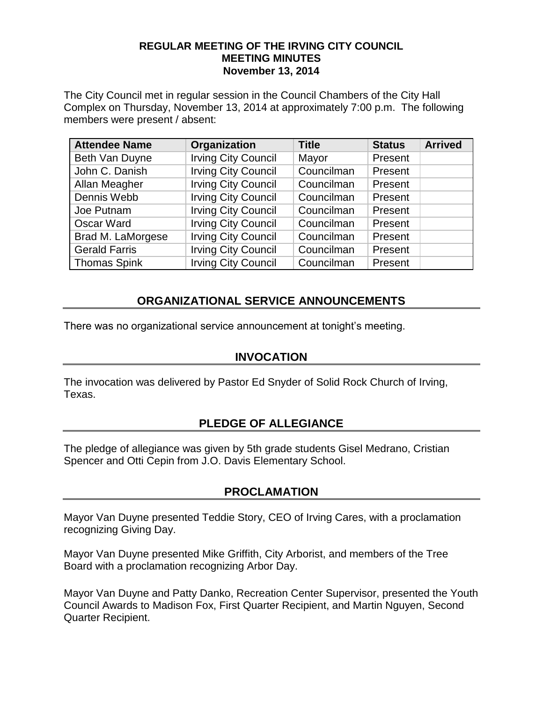#### **REGULAR MEETING OF THE IRVING CITY COUNCIL MEETING MINUTES November 13, 2014**

The City Council met in regular session in the Council Chambers of the City Hall Complex on Thursday, November 13, 2014 at approximately 7:00 p.m. The following members were present / absent:

| <b>Attendee Name</b> | Organization               | <b>Title</b> | <b>Status</b> | <b>Arrived</b> |
|----------------------|----------------------------|--------------|---------------|----------------|
| Beth Van Duyne       | <b>Irving City Council</b> | Mayor        | Present       |                |
| John C. Danish       | <b>Irving City Council</b> | Councilman   | Present       |                |
| Allan Meagher        | <b>Irving City Council</b> | Councilman   | Present       |                |
| Dennis Webb          | <b>Irving City Council</b> | Councilman   | Present       |                |
| Joe Putnam           | <b>Irving City Council</b> | Councilman   | Present       |                |
| <b>Oscar Ward</b>    | <b>Irving City Council</b> | Councilman   | Present       |                |
| Brad M. LaMorgese    | <b>Irving City Council</b> | Councilman   | Present       |                |
| <b>Gerald Farris</b> | <b>Irving City Council</b> | Councilman   | Present       |                |
| <b>Thomas Spink</b>  | <b>Irving City Council</b> | Councilman   | Present       |                |

## **ORGANIZATIONAL SERVICE ANNOUNCEMENTS**

There was no organizational service announcement at tonight's meeting.

## **INVOCATION**

The invocation was delivered by Pastor Ed Snyder of Solid Rock Church of Irving, Texas.

## **PLEDGE OF ALLEGIANCE**

The pledge of allegiance was given by 5th grade students Gisel Medrano, Cristian Spencer and Otti Cepin from J.O. Davis Elementary School.

## **PROCLAMATION**

Mayor Van Duyne presented Teddie Story, CEO of Irving Cares, with a proclamation recognizing Giving Day.

Mayor Van Duyne presented Mike Griffith, City Arborist, and members of the Tree Board with a proclamation recognizing Arbor Day.

Mayor Van Duyne and Patty Danko, Recreation Center Supervisor, presented the Youth Council Awards to Madison Fox, First Quarter Recipient, and Martin Nguyen, Second Quarter Recipient.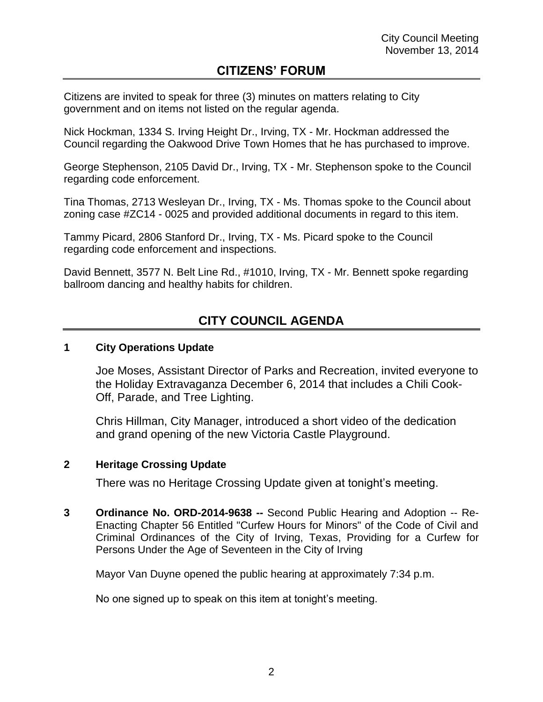## **CITIZENS' FORUM**

Citizens are invited to speak for three (3) minutes on matters relating to City government and on items not listed on the regular agenda.

Nick Hockman, 1334 S. Irving Height Dr., Irving, TX - Mr. Hockman addressed the Council regarding the Oakwood Drive Town Homes that he has purchased to improve.

George Stephenson, 2105 David Dr., Irving, TX - Mr. Stephenson spoke to the Council regarding code enforcement.

Tina Thomas, 2713 Wesleyan Dr., Irving, TX - Ms. Thomas spoke to the Council about zoning case #ZC14 - 0025 and provided additional documents in regard to this item.

Tammy Picard, 2806 Stanford Dr., Irving, TX - Ms. Picard spoke to the Council regarding code enforcement and inspections.

David Bennett, 3577 N. Belt Line Rd., #1010, Irving, TX - Mr. Bennett spoke regarding ballroom dancing and healthy habits for children.

# **CITY COUNCIL AGENDA**

### **1 City Operations Update**

Joe Moses, Assistant Director of Parks and Recreation, invited everyone to the Holiday Extravaganza December 6, 2014 that includes a Chili Cook-Off, Parade, and Tree Lighting.

Chris Hillman, City Manager, introduced a short video of the dedication and grand opening of the new Victoria Castle Playground.

### **2 Heritage Crossing Update**

There was no Heritage Crossing Update given at tonight's meeting.

**3 Ordinance No. ORD-2014-9638 --** Second Public Hearing and Adoption -- Re-Enacting Chapter 56 Entitled "Curfew Hours for Minors" of the Code of Civil and Criminal Ordinances of the City of Irving, Texas, Providing for a Curfew for Persons Under the Age of Seventeen in the City of Irving

Mayor Van Duyne opened the public hearing at approximately 7:34 p.m.

No one signed up to speak on this item at tonight's meeting.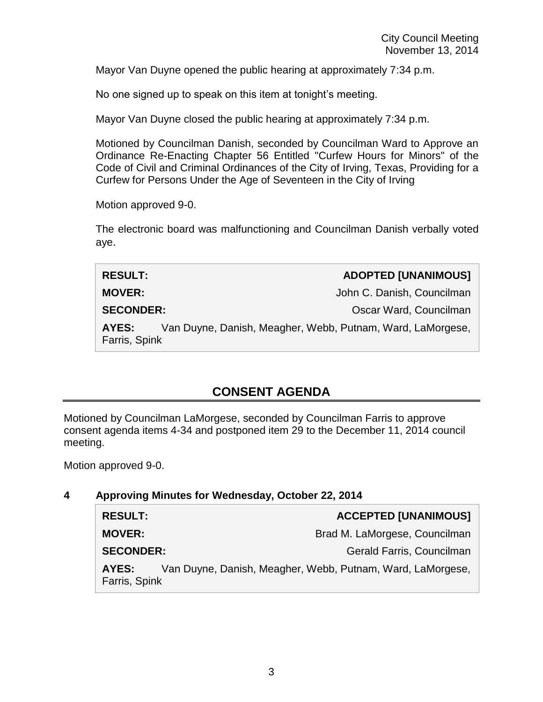Mayor Van Duyne opened the public hearing at approximately 7:34 p.m.

No one signed up to speak on this item at tonight's meeting.

Mayor Van Duyne closed the public hearing at approximately 7:34 p.m.

Motioned by Councilman Danish, seconded by Councilman Ward to Approve an Ordinance Re-Enacting Chapter 56 Entitled "Curfew Hours for Minors" of the Code of Civil and Criminal Ordinances of the City of Irving, Texas, Providing for a Curfew for Persons Under the Age of Seventeen in the City of Irving

Motion approved 9-0.

The electronic board was malfunctioning and Councilman Danish verbally voted aye.

| <b>RESULT:</b>                                                                       | <b>ADOPTED [UNANIMOUS]</b> |
|--------------------------------------------------------------------------------------|----------------------------|
| <b>MOVER:</b>                                                                        | John C. Danish, Councilman |
| <b>SECONDER:</b>                                                                     | Oscar Ward, Councilman     |
| Van Duyne, Danish, Meagher, Webb, Putnam, Ward, LaMorgese,<br>AYES:<br>Farris, Spink |                            |

## **CONSENT AGENDA**

Motioned by Councilman LaMorgese, seconded by Councilman Farris to approve consent agenda items 4-34 and postponed item 29 to the December 11, 2014 council meeting.

Motion approved 9-0.

### **4 Approving Minutes for Wednesday, October 22, 2014**

| <b>RESULT:</b>                                                                       | <b>ACCEPTED [UNANIMOUS]</b>   |  |
|--------------------------------------------------------------------------------------|-------------------------------|--|
| <b>MOVER:</b>                                                                        | Brad M. LaMorgese, Councilman |  |
| <b>SECONDER:</b>                                                                     | Gerald Farris, Councilman     |  |
| Van Duyne, Danish, Meagher, Webb, Putnam, Ward, LaMorgese,<br>AYES:<br>Farris, Spink |                               |  |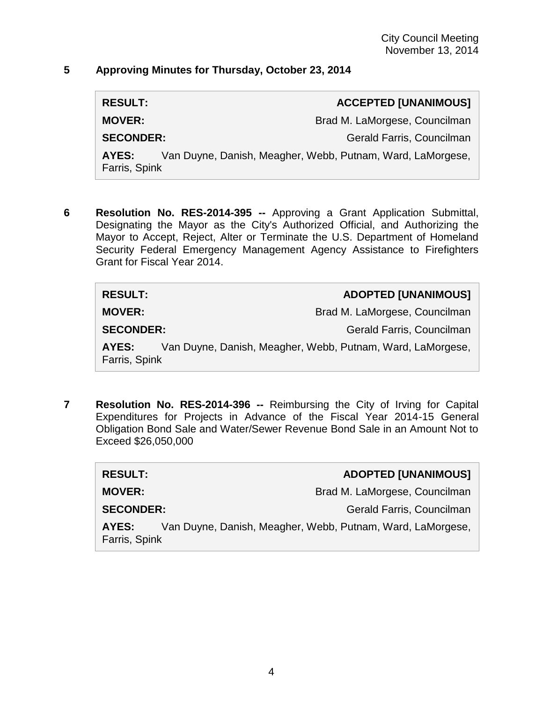### **5 Approving Minutes for Thursday, October 23, 2014**

**RESULT: ACCEPTED [UNANIMOUS]**

**MOVER:** Brad M. LaMorgese, Councilman

**SECONDER:** Gerald Farris, Councilman

**AYES:** Van Duyne, Danish, Meagher, Webb, Putnam, Ward, LaMorgese, Farris, Spink

**6 Resolution No. RES-2014-395 --** Approving a Grant Application Submittal, Designating the Mayor as the City's Authorized Official, and Authorizing the Mayor to Accept, Reject, Alter or Terminate the U.S. Department of Homeland Security Federal Emergency Management Agency Assistance to Firefighters Grant for Fiscal Year 2014.

| <b>RESULT:</b>         | <b>ADOPTED [UNANIMOUS]</b>                                 |
|------------------------|------------------------------------------------------------|
| <b>MOVER:</b>          | Brad M. LaMorgese, Councilman                              |
| <b>SECONDER:</b>       | Gerald Farris, Councilman                                  |
| AYES:<br>Farris, Spink | Van Duyne, Danish, Meagher, Webb, Putnam, Ward, LaMorgese, |

**7 Resolution No. RES-2014-396 --** Reimbursing the City of Irving for Capital Expenditures for Projects in Advance of the Fiscal Year 2014-15 General Obligation Bond Sale and Water/Sewer Revenue Bond Sale in an Amount Not to Exceed \$26,050,000

| <b>RESULT:</b>                                                                       | <b>ADOPTED [UNANIMOUS]</b>    |  |
|--------------------------------------------------------------------------------------|-------------------------------|--|
| <b>MOVER:</b>                                                                        | Brad M. LaMorgese, Councilman |  |
| <b>SECONDER:</b>                                                                     | Gerald Farris, Councilman     |  |
| Van Duyne, Danish, Meagher, Webb, Putnam, Ward, LaMorgese,<br>AYES:<br>Farris, Spink |                               |  |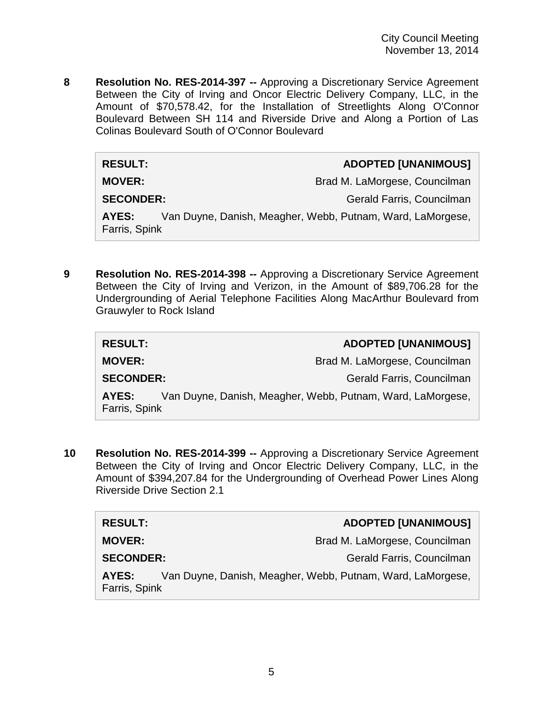**8 Resolution No. RES-2014-397 --** Approving a Discretionary Service Agreement Between the City of Irving and Oncor Electric Delivery Company, LLC, in the Amount of \$70,578.42, for the Installation of Streetlights Along O'Connor Boulevard Between SH 114 and Riverside Drive and Along a Portion of Las Colinas Boulevard South of O'Connor Boulevard

| <b>RESULT:</b>                                                                       | <b>ADOPTED [UNANIMOUS]</b>    |  |
|--------------------------------------------------------------------------------------|-------------------------------|--|
| <b>MOVER:</b>                                                                        | Brad M. LaMorgese, Councilman |  |
| <b>SECONDER:</b>                                                                     | Gerald Farris, Councilman     |  |
| Van Duyne, Danish, Meagher, Webb, Putnam, Ward, LaMorgese,<br>AYES:<br>Farris, Spink |                               |  |

**9 Resolution No. RES-2014-398 --** Approving a Discretionary Service Agreement Between the City of Irving and Verizon, in the Amount of \$89,706.28 for the Undergrounding of Aerial Telephone Facilities Along MacArthur Boulevard from Grauwyler to Rock Island

| <b>RESULT:</b>                                                                       | <b>ADOPTED [UNANIMOUS]</b>    |
|--------------------------------------------------------------------------------------|-------------------------------|
| <b>MOVER:</b>                                                                        | Brad M. LaMorgese, Councilman |
| <b>SECONDER:</b>                                                                     | Gerald Farris, Councilman     |
| Van Duyne, Danish, Meagher, Webb, Putnam, Ward, LaMorgese,<br>AYES:<br>Farris, Spink |                               |

**10 Resolution No. RES-2014-399 --** Approving a Discretionary Service Agreement Between the City of Irving and Oncor Electric Delivery Company, LLC, in the Amount of \$394,207.84 for the Undergrounding of Overhead Power Lines Along Riverside Drive Section 2.1

| <b>RESULT:</b>                                                                       | <b>ADOPTED [UNANIMOUS]</b>    |
|--------------------------------------------------------------------------------------|-------------------------------|
| <b>MOVER:</b>                                                                        | Brad M. LaMorgese, Councilman |
| <b>SECONDER:</b>                                                                     | Gerald Farris, Councilman     |
| Van Duyne, Danish, Meagher, Webb, Putnam, Ward, LaMorgese,<br>AYES:<br>Farris, Spink |                               |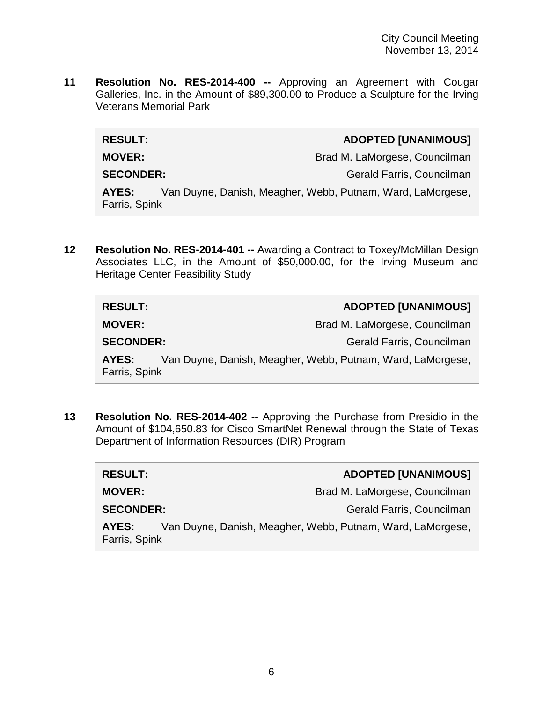**11 Resolution No. RES-2014-400 --** Approving an Agreement with Cougar Galleries, Inc. in the Amount of \$89,300.00 to Produce a Sculpture for the Irving Veterans Memorial Park

 $RESULT:$ 

**MOVER:** Brad M. LaMorgese, Councilman **SECONDER:** Gerald Farris, Councilman **AYES:** Van Duyne, Danish, Meagher, Webb, Putnam, Ward, LaMorgese, Farris, Spink

**12 Resolution No. RES-2014-401 --** Awarding a Contract to Toxey/McMillan Design Associates LLC, in the Amount of \$50,000.00, for the Irving Museum and Heritage Center Feasibility Study

| <b>RESULT:</b>                                                                       | <b>ADOPTED [UNANIMOUS]</b>    |  |
|--------------------------------------------------------------------------------------|-------------------------------|--|
| <b>MOVER:</b>                                                                        | Brad M. LaMorgese, Councilman |  |
| <b>SECONDER:</b>                                                                     | Gerald Farris, Councilman     |  |
| Van Duyne, Danish, Meagher, Webb, Putnam, Ward, LaMorgese,<br>AYES:<br>Farris, Spink |                               |  |

**13 Resolution No. RES-2014-402 --** Approving the Purchase from Presidio in the Amount of \$104,650.83 for Cisco SmartNet Renewal through the State of Texas Department of Information Resources (DIR) Program

| <b>RESULT:</b>                                                                       | <b>ADOPTED [UNANIMOUS]</b>    |  |
|--------------------------------------------------------------------------------------|-------------------------------|--|
| <b>MOVER:</b>                                                                        | Brad M. LaMorgese, Councilman |  |
| <b>SECONDER:</b>                                                                     | Gerald Farris, Councilman     |  |
| Van Duyne, Danish, Meagher, Webb, Putnam, Ward, LaMorgese,<br>AYES:<br>Farris, Spink |                               |  |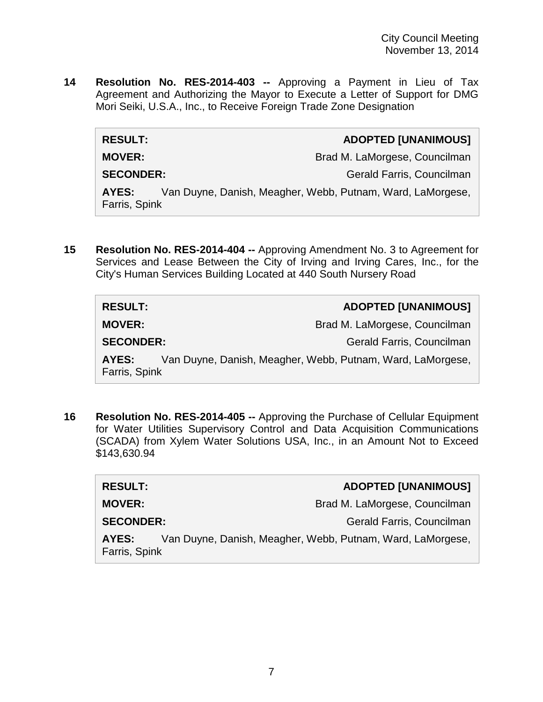**14 Resolution No. RES-2014-403 --** Approving a Payment in Lieu of Tax Agreement and Authorizing the Mayor to Execute a Letter of Support for DMG Mori Seiki, U.S.A., Inc., to Receive Foreign Trade Zone Designation

| <b>RESULT:</b>                                                                       | <b>ADOPTED [UNANIMOUS]</b>    |
|--------------------------------------------------------------------------------------|-------------------------------|
| <b>MOVER:</b>                                                                        | Brad M. LaMorgese, Councilman |
| <b>SECONDER:</b>                                                                     | Gerald Farris, Councilman     |
| Van Duyne, Danish, Meagher, Webb, Putnam, Ward, LaMorgese,<br>AYES:<br>Farris, Spink |                               |

**15 Resolution No. RES-2014-404 --** Approving Amendment No. 3 to Agreement for Services and Lease Between the City of Irving and Irving Cares, Inc., for the City's Human Services Building Located at 440 South Nursery Road

| <b>RESULT:</b>         | <b>ADOPTED [UNANIMOUS]</b>                                 |
|------------------------|------------------------------------------------------------|
| <b>MOVER:</b>          | Brad M. LaMorgese, Councilman                              |
| <b>SECONDER:</b>       | Gerald Farris, Councilman                                  |
| AYES:<br>Farris, Spink | Van Duyne, Danish, Meagher, Webb, Putnam, Ward, LaMorgese, |

**16 Resolution No. RES-2014-405 --** Approving the Purchase of Cellular Equipment for Water Utilities Supervisory Control and Data Acquisition Communications (SCADA) from Xylem Water Solutions USA, Inc., in an Amount Not to Exceed \$143,630.94

| <b>RESULT:</b>         | <b>ADOPTED [UNANIMOUS]</b>                                 |
|------------------------|------------------------------------------------------------|
| <b>MOVER:</b>          | Brad M. LaMorgese, Councilman                              |
| <b>SECONDER:</b>       | Gerald Farris, Councilman                                  |
| AYES:<br>Farris, Spink | Van Duyne, Danish, Meagher, Webb, Putnam, Ward, LaMorgese, |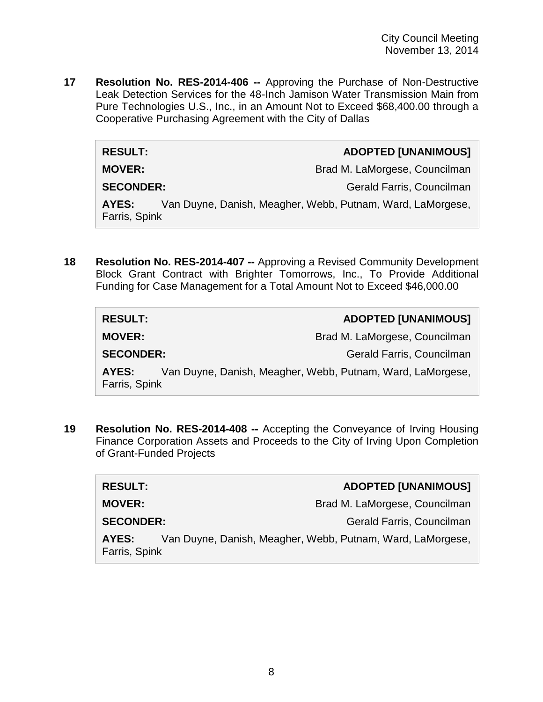**17 Resolution No. RES-2014-406 --** Approving the Purchase of Non-Destructive Leak Detection Services for the 48-Inch Jamison Water Transmission Main from Pure Technologies U.S., Inc., in an Amount Not to Exceed \$68,400.00 through a Cooperative Purchasing Agreement with the City of Dallas

#### **RESULT: ADOPTED [UNANIMOUS]**

**MOVER:** Brad M. LaMorgese, Councilman

**SECONDER:** Gerald Farris, Councilman

**AYES:** Van Duyne, Danish, Meagher, Webb, Putnam, Ward, LaMorgese, Farris, Spink

**18 Resolution No. RES-2014-407 --** Approving a Revised Community Development Block Grant Contract with Brighter Tomorrows, Inc., To Provide Additional Funding for Case Management for a Total Amount Not to Exceed \$46,000.00

| <b>RESULT:</b>         | <b>ADOPTED [UNANIMOUS]</b>                                 |
|------------------------|------------------------------------------------------------|
| <b>MOVER:</b>          | Brad M. LaMorgese, Councilman                              |
| <b>SECONDER:</b>       | Gerald Farris, Councilman                                  |
| AYES:<br>Farris, Spink | Van Duyne, Danish, Meagher, Webb, Putnam, Ward, LaMorgese, |

**19 Resolution No. RES-2014-408 --** Accepting the Conveyance of Irving Housing Finance Corporation Assets and Proceeds to the City of Irving Upon Completion of Grant-Funded Projects

| <b>RESULT:</b>         | <b>ADOPTED [UNANIMOUS]</b>                                 |
|------------------------|------------------------------------------------------------|
| <b>MOVER:</b>          | Brad M. LaMorgese, Councilman                              |
| <b>SECONDER:</b>       | Gerald Farris, Councilman                                  |
| AYES:<br>Farris, Spink | Van Duyne, Danish, Meagher, Webb, Putnam, Ward, LaMorgese, |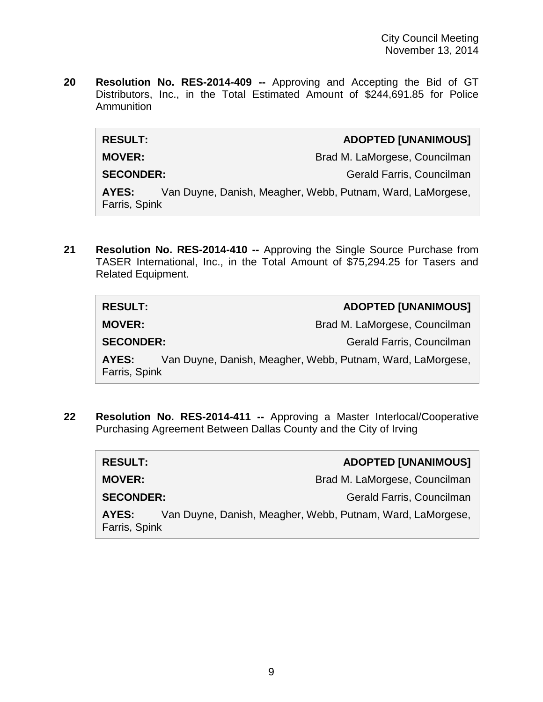**20 Resolution No. RES-2014-409 --** Approving and Accepting the Bid of GT Distributors, Inc., in the Total Estimated Amount of \$244,691.85 for Police Ammunition

| <b>RESULT:</b>   | <b>ADOPTED [UNANIMOUS]</b>                                                                                                                                                                                                                                                                                                                                                                                                       |
|------------------|----------------------------------------------------------------------------------------------------------------------------------------------------------------------------------------------------------------------------------------------------------------------------------------------------------------------------------------------------------------------------------------------------------------------------------|
| <b>MOVER:</b>    | Brad M. LaMorgese, Councilman                                                                                                                                                                                                                                                                                                                                                                                                    |
| <b>SECONDER:</b> | Gerald Farris, Councilman                                                                                                                                                                                                                                                                                                                                                                                                        |
| $\lambda VFA$ .  | $\mathcal{L}_{\mathcal{L}}$ $\mathcal{L}_{\mathcal{L}}$ $\mathcal{L}_{\mathcal{L}}$ $\mathcal{L}_{\mathcal{L}}$ $\mathcal{L}_{\mathcal{L}}$ $\mathcal{L}_{\mathcal{L}}$ $\mathcal{L}_{\mathcal{L}}$ $\mathcal{L}_{\mathcal{L}}$ $\mathcal{L}_{\mathcal{L}}$ $\mathcal{L}_{\mathcal{L}}$ $\mathcal{L}_{\mathcal{L}}$ $\mathcal{L}_{\mathcal{L}}$ $\mathcal{L}_{\mathcal{L}}$ $\mathcal{L}_{\mathcal{L}}$ $\mathcal{L}_{\mathcal{$ |

**AYES:** Van Duyne, Danish, Meagher, Webb, Putnam, Ward, LaMorgese, Farris, Spink

**21 Resolution No. RES-2014-410 --** Approving the Single Source Purchase from TASER International, Inc., in the Total Amount of \$75,294.25 for Tasers and Related Equipment.

| <b>RESULT:</b>         | <b>ADOPTED [UNANIMOUS]</b>                                 |
|------------------------|------------------------------------------------------------|
| <b>MOVER:</b>          | Brad M. LaMorgese, Councilman                              |
| <b>SECONDER:</b>       | Gerald Farris, Councilman                                  |
| AYES:<br>Farris, Spink | Van Duyne, Danish, Meagher, Webb, Putnam, Ward, LaMorgese, |

**22 Resolution No. RES-2014-411 --** Approving a Master Interlocal/Cooperative Purchasing Agreement Between Dallas County and the City of Irving

| <b>RESULT:</b>         | <b>ADOPTED [UNANIMOUS]</b>                                 |
|------------------------|------------------------------------------------------------|
| <b>MOVER:</b>          | Brad M. LaMorgese, Councilman                              |
| <b>SECONDER:</b>       | Gerald Farris, Councilman                                  |
| AYES:<br>Farris, Spink | Van Duyne, Danish, Meagher, Webb, Putnam, Ward, LaMorgese, |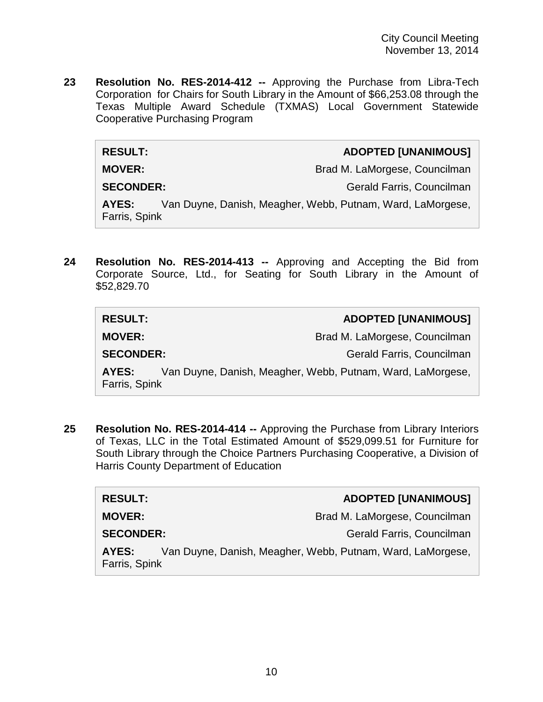**23 Resolution No. RES-2014-412 --** Approving the Purchase from Libra-Tech Corporation for Chairs for South Library in the Amount of \$66,253.08 through the Texas Multiple Award Schedule (TXMAS) Local Government Statewide Cooperative Purchasing Program

#### **RESULT: ADOPTED [UNANIMOUS]**

**MOVER:** Brad M. LaMorgese, Councilman

**SECONDER:** Gerald Farris, Councilman

**AYES:** Van Duyne, Danish, Meagher, Webb, Putnam, Ward, LaMorgese, Farris, Spink

**24 Resolution No. RES-2014-413 --** Approving and Accepting the Bid from Corporate Source, Ltd., for Seating for South Library in the Amount of \$52,829.70

| <b>RESULT:</b>         | <b>ADOPTED [UNANIMOUS]</b>                                 |
|------------------------|------------------------------------------------------------|
| <b>MOVER:</b>          | Brad M. LaMorgese, Councilman                              |
| <b>SECONDER:</b>       | Gerald Farris, Councilman                                  |
| AYES:<br>Farris, Spink | Van Duyne, Danish, Meagher, Webb, Putnam, Ward, LaMorgese, |

**25 Resolution No. RES-2014-414 --** Approving the Purchase from Library Interiors of Texas, LLC in the Total Estimated Amount of \$529,099.51 for Furniture for South Library through the Choice Partners Purchasing Cooperative, a Division of Harris County Department of Education

| <b>RESULT:</b>         | <b>ADOPTED [UNANIMOUS]</b>                                 |
|------------------------|------------------------------------------------------------|
| <b>MOVER:</b>          | Brad M. LaMorgese, Councilman                              |
| <b>SECONDER:</b>       | Gerald Farris, Councilman                                  |
| AYES:<br>Farris, Spink | Van Duyne, Danish, Meagher, Webb, Putnam, Ward, LaMorgese, |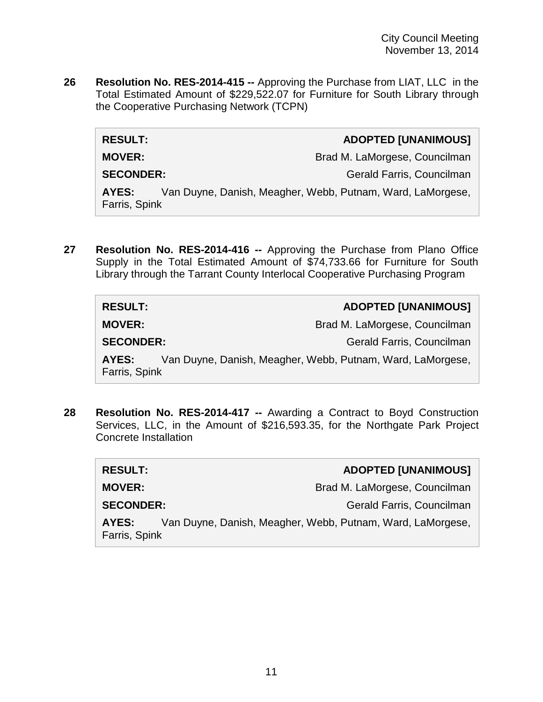**26 Resolution No. RES-2014-415 --** Approving the Purchase from LIAT, LLC in the Total Estimated Amount of \$229,522.07 for Furniture for South Library through the Cooperative Purchasing Network (TCPN)

| <b>RESULT:</b>   | <b>ADOPTED [UNANIMOUS]</b>    |
|------------------|-------------------------------|
| <b>MOVER:</b>    | Brad M. LaMorgese, Councilman |
| <b>SECONDER:</b> | Gerald Farris, Councilman     |

**AYES:** Van Duyne, Danish, Meagher, Webb, Putnam, Ward, LaMorgese, Farris, Spink

**27 Resolution No. RES-2014-416 --** Approving the Purchase from Plano Office Supply in the Total Estimated Amount of \$74,733.66 for Furniture for South Library through the Tarrant County Interlocal Cooperative Purchasing Program

| <b>RESULT:</b>         | <b>ADOPTED [UNANIMOUS]</b>                                 |
|------------------------|------------------------------------------------------------|
| <b>MOVER:</b>          | Brad M. LaMorgese, Councilman                              |
| <b>SECONDER:</b>       | Gerald Farris, Councilman                                  |
| AYES:<br>Farris, Spink | Van Duyne, Danish, Meagher, Webb, Putnam, Ward, LaMorgese, |

**28 Resolution No. RES-2014-417 --** Awarding a Contract to Boyd Construction Services, LLC, in the Amount of \$216,593.35, for the Northgate Park Project Concrete Installation

| <b>RESULT:</b>         | <b>ADOPTED [UNANIMOUS]</b>                                 |
|------------------------|------------------------------------------------------------|
| <b>MOVER:</b>          | Brad M. LaMorgese, Councilman                              |
| <b>SECONDER:</b>       | Gerald Farris, Councilman                                  |
| AYES:<br>Farris, Spink | Van Duyne, Danish, Meagher, Webb, Putnam, Ward, LaMorgese, |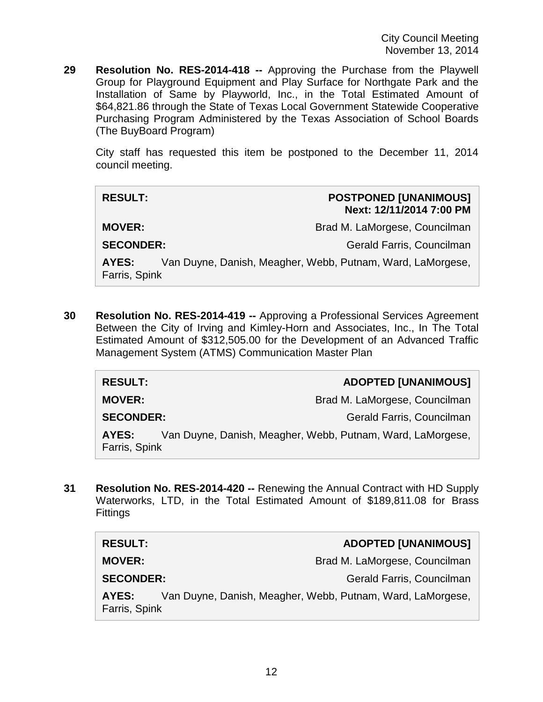**29 Resolution No. RES-2014-418 --** Approving the Purchase from the Playwell Group for Playground Equipment and Play Surface for Northgate Park and the Installation of Same by Playworld, Inc., in the Total Estimated Amount of \$64,821.86 through the State of Texas Local Government Statewide Cooperative Purchasing Program Administered by the Texas Association of School Boards (The BuyBoard Program)

City staff has requested this item be postponed to the December 11, 2014 council meeting.

#### **RESULT: POSTPONED [UNANIMOUS] Next: 12/11/2014 7:00 PM**

**MOVER:** Brad M. LaMorgese, Councilman Brad M. LaMorgese, Councilman

**SECONDER:** Gerald Farris, Councilman

**AYES:** Van Duyne, Danish, Meagher, Webb, Putnam, Ward, LaMorgese, Farris, Spink

**30 Resolution No. RES-2014-419 --** Approving a Professional Services Agreement Between the City of Irving and Kimley-Horn and Associates, Inc., In The Total Estimated Amount of \$312,505.00 for the Development of an Advanced Traffic Management System (ATMS) Communication Master Plan

| <b>RESULT:</b>   | <b>ADOPTED [UNANIMOUS]</b>                                 |
|------------------|------------------------------------------------------------|
| <b>MOVER:</b>    | Brad M. LaMorgese, Councilman                              |
| <b>SECONDER:</b> | Gerald Farris, Councilman                                  |
| AYES:            | Van Duyne, Danish, Meagher, Webb, Putnam, Ward, LaMorgese, |
| Farris, Spink    |                                                            |

**31 Resolution No. RES-2014-420 --** Renewing the Annual Contract with HD Supply Waterworks, LTD, in the Total Estimated Amount of \$189,811.08 for Brass **Fittings** 

| <b>RESULT:</b>                                                                       | <b>ADOPTED [UNANIMOUS]</b>    |
|--------------------------------------------------------------------------------------|-------------------------------|
| <b>MOVER:</b>                                                                        | Brad M. LaMorgese, Councilman |
| <b>SECONDER:</b>                                                                     | Gerald Farris, Councilman     |
| Van Duyne, Danish, Meagher, Webb, Putnam, Ward, LaMorgese,<br>AYES:<br>Farris, Spink |                               |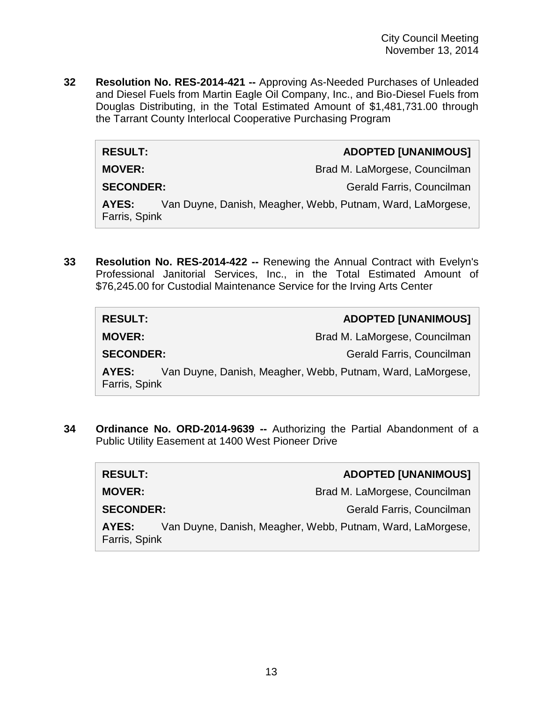**32 Resolution No. RES-2014-421 --** Approving As-Needed Purchases of Unleaded and Diesel Fuels from Martin Eagle Oil Company, Inc., and Bio-Diesel Fuels from Douglas Distributing, in the Total Estimated Amount of \$1,481,731.00 through the Tarrant County Interlocal Cooperative Purchasing Program

#### **RESULT: ADOPTED [UNANIMOUS]**

**MOVER:** Brad M. LaMorgese, Councilman

**SECONDER:** Gerald Farris, Councilman

**AYES:** Van Duyne, Danish, Meagher, Webb, Putnam, Ward, LaMorgese, Farris, Spink

**33 Resolution No. RES-2014-422 --** Renewing the Annual Contract with Evelyn's Professional Janitorial Services, Inc., in the Total Estimated Amount of \$76,245.00 for Custodial Maintenance Service for the Irving Arts Center

| <b>RESULT:</b>                                                                       | <b>ADOPTED [UNANIMOUS]</b>    |
|--------------------------------------------------------------------------------------|-------------------------------|
| <b>MOVER:</b>                                                                        | Brad M. LaMorgese, Councilman |
| <b>SECONDER:</b>                                                                     | Gerald Farris, Councilman     |
| Van Duyne, Danish, Meagher, Webb, Putnam, Ward, LaMorgese,<br>AYES:<br>Farris, Spink |                               |

**34 Ordinance No. ORD-2014-9639 --** Authorizing the Partial Abandonment of a Public Utility Easement at 1400 West Pioneer Drive

| <b>RESULT:</b>         | <b>ADOPTED [UNANIMOUS]</b>                                 |
|------------------------|------------------------------------------------------------|
| <b>MOVER:</b>          | Brad M. LaMorgese, Councilman                              |
| <b>SECONDER:</b>       | Gerald Farris, Councilman                                  |
| AYES:<br>Farris, Spink | Van Duyne, Danish, Meagher, Webb, Putnam, Ward, LaMorgese, |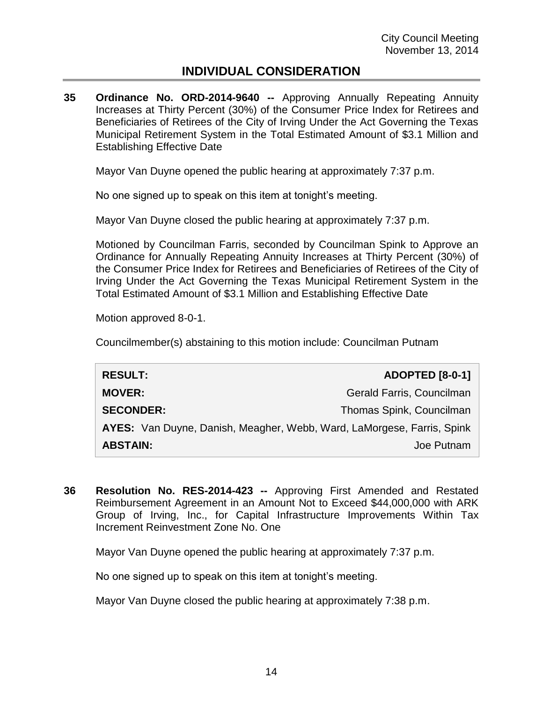## **INDIVIDUAL CONSIDERATION**

**35 Ordinance No. ORD-2014-9640 --** Approving Annually Repeating Annuity Increases at Thirty Percent (30%) of the Consumer Price Index for Retirees and Beneficiaries of Retirees of the City of Irving Under the Act Governing the Texas Municipal Retirement System in the Total Estimated Amount of \$3.1 Million and Establishing Effective Date

Mayor Van Duyne opened the public hearing at approximately 7:37 p.m.

No one signed up to speak on this item at tonight's meeting.

Mayor Van Duyne closed the public hearing at approximately 7:37 p.m.

Motioned by Councilman Farris, seconded by Councilman Spink to Approve an Ordinance for Annually Repeating Annuity Increases at Thirty Percent (30%) of the Consumer Price Index for Retirees and Beneficiaries of Retirees of the City of Irving Under the Act Governing the Texas Municipal Retirement System in the Total Estimated Amount of \$3.1 Million and Establishing Effective Date

Motion approved 8-0-1.

Councilmember(s) abstaining to this motion include: Councilman Putnam

| <b>RESULT:</b>                                                         | <b>ADOPTED</b> [8-0-1]    |
|------------------------------------------------------------------------|---------------------------|
| <b>MOVER:</b>                                                          | Gerald Farris, Councilman |
| <b>SECONDER:</b>                                                       | Thomas Spink, Councilman  |
| AYES: Van Duyne, Danish, Meagher, Webb, Ward, LaMorgese, Farris, Spink |                           |
| <b>ABSTAIN:</b>                                                        | Joe Putnam                |

**36 Resolution No. RES-2014-423 --** Approving First Amended and Restated Reimbursement Agreement in an Amount Not to Exceed \$44,000,000 with ARK Group of Irving, Inc., for Capital Infrastructure Improvements Within Tax Increment Reinvestment Zone No. One

Mayor Van Duyne opened the public hearing at approximately 7:37 p.m.

No one signed up to speak on this item at tonight's meeting.

Mayor Van Duyne closed the public hearing at approximately 7:38 p.m.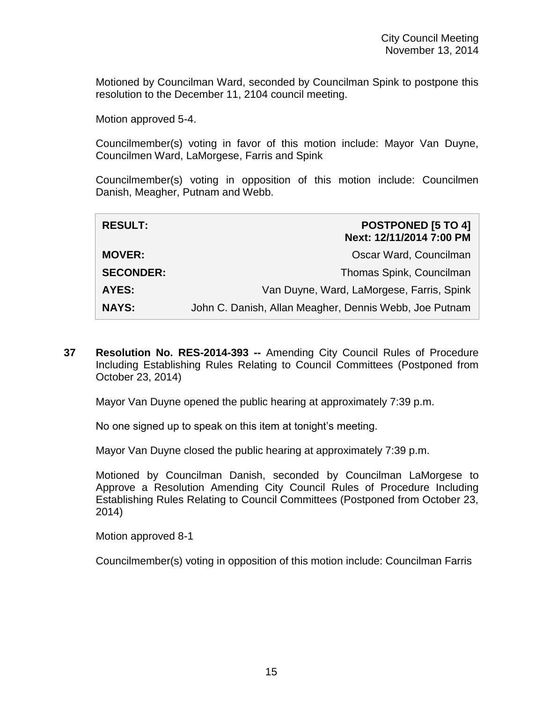Motioned by Councilman Ward, seconded by Councilman Spink to postpone this resolution to the December 11, 2104 council meeting.

Motion approved 5-4.

Councilmember(s) voting in favor of this motion include: Mayor Van Duyne, Councilmen Ward, LaMorgese, Farris and Spink

Councilmember(s) voting in opposition of this motion include: Councilmen Danish, Meagher, Putnam and Webb.

| <b>RESULT:</b>   | <b>POSTPONED [5 TO 4]</b><br>Next: 12/11/2014 7:00 PM  |
|------------------|--------------------------------------------------------|
| <b>MOVER:</b>    | Oscar Ward, Councilman                                 |
| <b>SECONDER:</b> | Thomas Spink, Councilman                               |
| AYES:            | Van Duyne, Ward, LaMorgese, Farris, Spink              |
| <b>NAYS:</b>     | John C. Danish, Allan Meagher, Dennis Webb, Joe Putnam |

**37 Resolution No. RES-2014-393 --** Amending City Council Rules of Procedure Including Establishing Rules Relating to Council Committees (Postponed from October 23, 2014)

Mayor Van Duyne opened the public hearing at approximately 7:39 p.m.

No one signed up to speak on this item at tonight's meeting.

Mayor Van Duyne closed the public hearing at approximately 7:39 p.m.

Motioned by Councilman Danish, seconded by Councilman LaMorgese to Approve a Resolution Amending City Council Rules of Procedure Including Establishing Rules Relating to Council Committees (Postponed from October 23, 2014)

Motion approved 8-1

Councilmember(s) voting in opposition of this motion include: Councilman Farris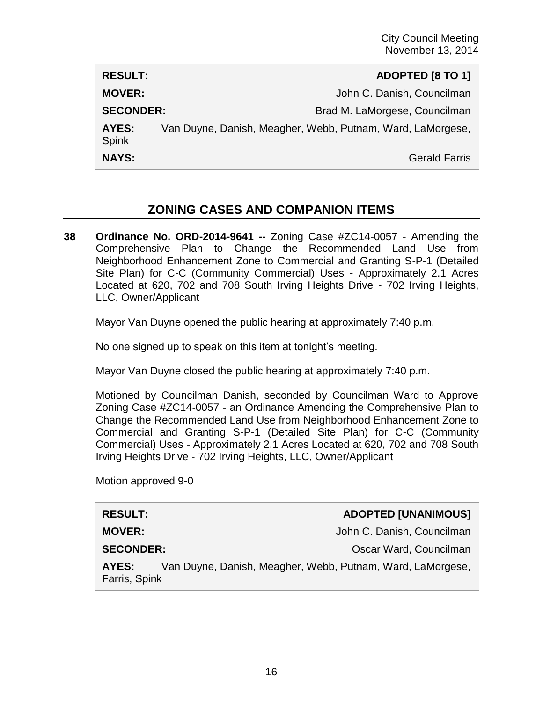| <b>RESULT:</b>   | ADOPTED [8 TO 1]                                           |
|------------------|------------------------------------------------------------|
| <b>MOVER:</b>    | John C. Danish, Councilman                                 |
| <b>SECONDER:</b> | Brad M. LaMorgese, Councilman                              |
| AYES:<br>Spink   | Van Duyne, Danish, Meagher, Webb, Putnam, Ward, LaMorgese, |
| <b>NAYS:</b>     | <b>Gerald Farris</b>                                       |

## **ZONING CASES AND COMPANION ITEMS**

**38 Ordinance No. ORD-2014-9641 --** Zoning Case #ZC14-0057 - Amending the Comprehensive Plan to Change the Recommended Land Use from Neighborhood Enhancement Zone to Commercial and Granting S-P-1 (Detailed Site Plan) for C-C (Community Commercial) Uses - Approximately 2.1 Acres Located at 620, 702 and 708 South Irving Heights Drive - 702 Irving Heights, LLC, Owner/Applicant

Mayor Van Duyne opened the public hearing at approximately 7:40 p.m.

No one signed up to speak on this item at tonight's meeting.

Mayor Van Duyne closed the public hearing at approximately 7:40 p.m.

Motioned by Councilman Danish, seconded by Councilman Ward to Approve Zoning Case #ZC14-0057 - an Ordinance Amending the Comprehensive Plan to Change the Recommended Land Use from Neighborhood Enhancement Zone to Commercial and Granting S-P-1 (Detailed Site Plan) for C-C (Community Commercial) Uses - Approximately 2.1 Acres Located at 620, 702 and 708 South Irving Heights Drive - 702 Irving Heights, LLC, Owner/Applicant

Motion approved 9-0

### **RESULT: ADOPTED [UNANIMOUS]**

**MOVER:** John C. Danish, Councilman

**SECONDER:** CONDER: COUNCILLE CONDER: COUNCILLE CONDER: COUNCIL

**AYES:** Van Duyne, Danish, Meagher, Webb, Putnam, Ward, LaMorgese, Farris, Spink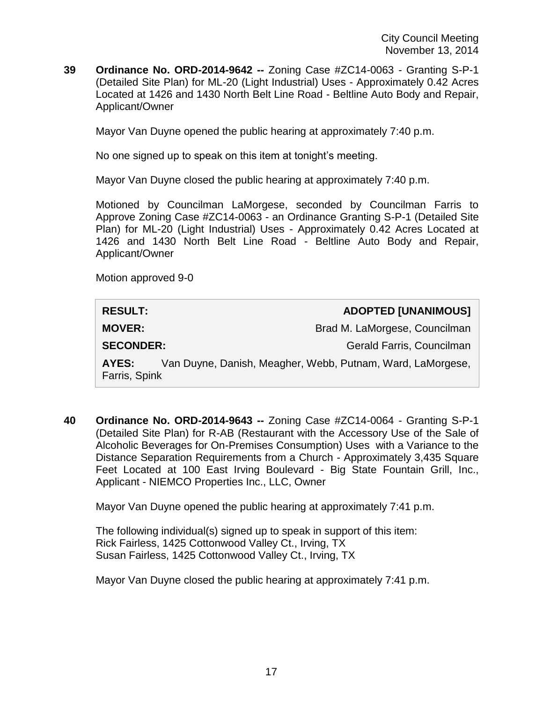**39 Ordinance No. ORD-2014-9642 --** Zoning Case #ZC14-0063 - Granting S-P-1 (Detailed Site Plan) for ML-20 (Light Industrial) Uses - Approximately 0.42 Acres Located at 1426 and 1430 North Belt Line Road - Beltline Auto Body and Repair, Applicant/Owner

Mayor Van Duyne opened the public hearing at approximately 7:40 p.m.

No one signed up to speak on this item at tonight's meeting.

Mayor Van Duyne closed the public hearing at approximately 7:40 p.m.

Motioned by Councilman LaMorgese, seconded by Councilman Farris to Approve Zoning Case #ZC14-0063 - an Ordinance Granting S-P-1 (Detailed Site Plan) for ML-20 (Light Industrial) Uses - Approximately 0.42 Acres Located at 1426 and 1430 North Belt Line Road - Beltline Auto Body and Repair, Applicant/Owner

Motion approved 9-0

| <b>RESULT:</b>                                                                       | <b>ADOPTED [UNANIMOUS]</b>    |
|--------------------------------------------------------------------------------------|-------------------------------|
| <b>MOVER:</b>                                                                        | Brad M. LaMorgese, Councilman |
| <b>SECONDER:</b>                                                                     | Gerald Farris, Councilman     |
| Van Duyne, Danish, Meagher, Webb, Putnam, Ward, LaMorgese,<br>AYES:<br>Farris, Spink |                               |

**40 Ordinance No. ORD-2014-9643 --** Zoning Case #ZC14-0064 - Granting S-P-1 (Detailed Site Plan) for R-AB (Restaurant with the Accessory Use of the Sale of Alcoholic Beverages for On-Premises Consumption) Uses with a Variance to the Distance Separation Requirements from a Church - Approximately 3,435 Square Feet Located at 100 East Irving Boulevard - Big State Fountain Grill, Inc., Applicant - NIEMCO Properties Inc., LLC, Owner

Mayor Van Duyne opened the public hearing at approximately 7:41 p.m.

The following individual(s) signed up to speak in support of this item: Rick Fairless, 1425 Cottonwood Valley Ct., Irving, TX Susan Fairless, 1425 Cottonwood Valley Ct., Irving, TX

Mayor Van Duyne closed the public hearing at approximately 7:41 p.m.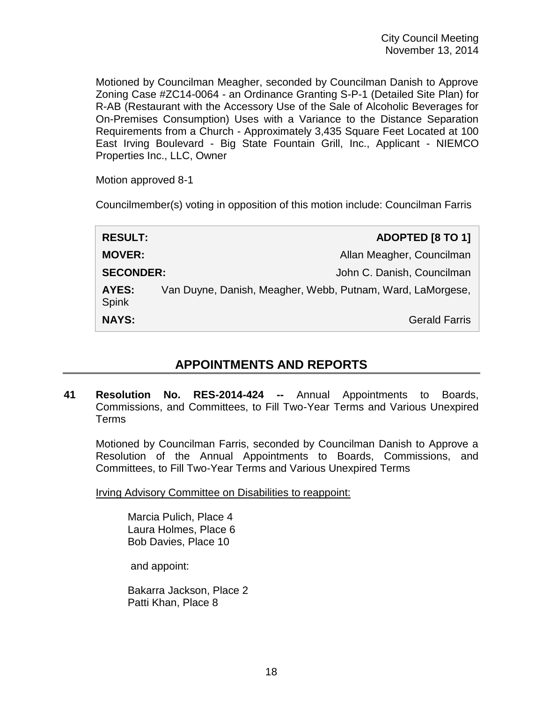Motioned by Councilman Meagher, seconded by Councilman Danish to Approve Zoning Case #ZC14-0064 - an Ordinance Granting S-P-1 (Detailed Site Plan) for R-AB (Restaurant with the Accessory Use of the Sale of Alcoholic Beverages for On-Premises Consumption) Uses with a Variance to the Distance Separation Requirements from a Church - Approximately 3,435 Square Feet Located at 100 East Irving Boulevard - Big State Fountain Grill, Inc., Applicant - NIEMCO Properties Inc., LLC, Owner

Motion approved 8-1

Councilmember(s) voting in opposition of this motion include: Councilman Farris

| <b>RESULT:</b>               | ADOPTED [8 TO 1]                                           |
|------------------------------|------------------------------------------------------------|
| <b>MOVER:</b>                | Allan Meagher, Councilman                                  |
| <b>SECONDER:</b>             | John C. Danish, Councilman                                 |
| <b>AYES:</b><br><b>Spink</b> | Van Duyne, Danish, Meagher, Webb, Putnam, Ward, LaMorgese, |
| <b>NAYS:</b>                 | <b>Gerald Farris</b>                                       |

## **APPOINTMENTS AND REPORTS**

**41 Resolution No. RES-2014-424 --** Annual Appointments to Boards, Commissions, and Committees, to Fill Two-Year Terms and Various Unexpired Terms

Motioned by Councilman Farris, seconded by Councilman Danish to Approve a Resolution of the Annual Appointments to Boards, Commissions, and Committees, to Fill Two-Year Terms and Various Unexpired Terms

Irving Advisory Committee on Disabilities to reappoint:

Marcia Pulich, Place 4 Laura Holmes, Place 6 Bob Davies, Place 10

and appoint:

Bakarra Jackson, Place 2 Patti Khan, Place 8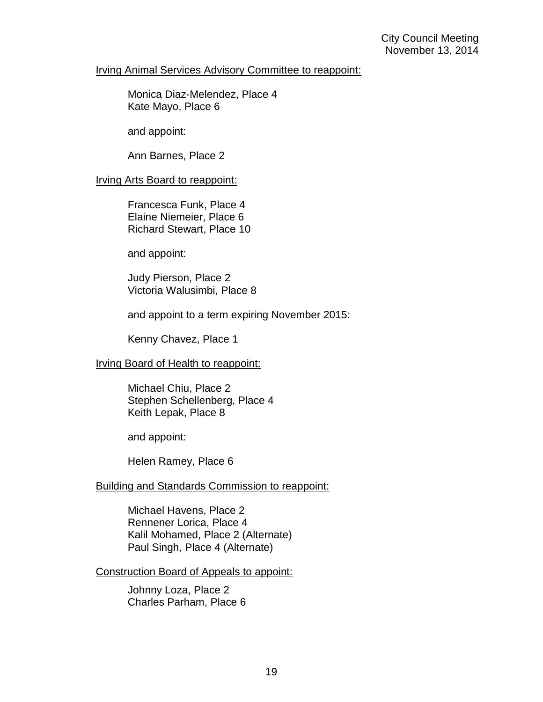#### Irving Animal Services Advisory Committee to reappoint:

Monica Diaz-Melendez, Place 4 Kate Mayo, Place 6

and appoint:

Ann Barnes, Place 2

#### Irving Arts Board to reappoint:

Francesca Funk, Place 4 Elaine Niemeier, Place 6 Richard Stewart, Place 10

and appoint:

Judy Pierson, Place 2 Victoria Walusimbi, Place 8

and appoint to a term expiring November 2015:

Kenny Chavez, Place 1

#### Irving Board of Health to reappoint:

Michael Chiu, Place 2 Stephen Schellenberg, Place 4 Keith Lepak, Place 8

and appoint:

Helen Ramey, Place 6

#### Building and Standards Commission to reappoint:

Michael Havens, Place 2 Rennener Lorica, Place 4 Kalil Mohamed, Place 2 (Alternate) Paul Singh, Place 4 (Alternate)

Construction Board of Appeals to appoint:

Johnny Loza, Place 2 Charles Parham, Place 6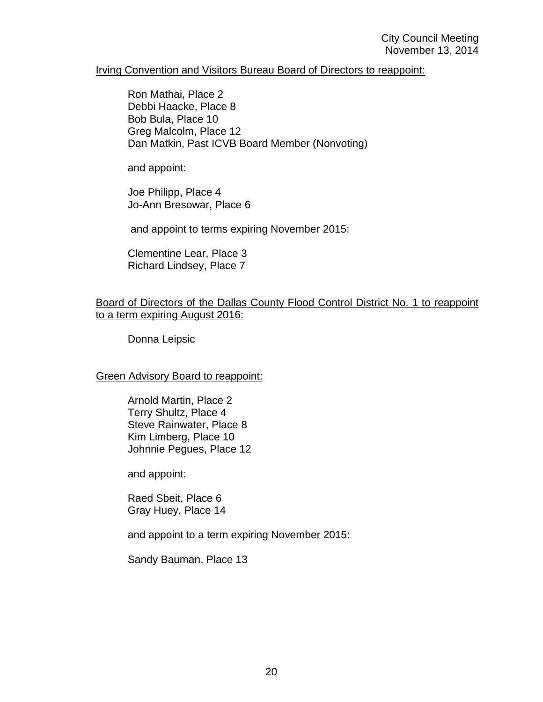#### Irving Convention and Visitors Bureau Board of Directors to reappoint:

Ron Mathai, Place 2 Debbi Haacke, Place 8 Bob Bula, Place 10 Greg Malcolm, Place 12 Dan Matkin, Past ICVB Board Member (Nonvoting)

and appoint:

Joe Philipp, Place 4 Jo-Ann Bresowar, Place 6

and appoint to terms expiring November 2015:

Clementine Lear, Place 3 Richard Lindsey, Place 7

#### Board of Directors of the Dallas County Flood Control District No. 1 to reappoint to a term expiring August 2016:

Donna Leipsic

#### Green Advisory Board to reappoint:

Arnold Martin, Place 2 Terry Shultz, Place 4 Steve Rainwater, Place 8 Kim Limberg, Place 10 Johnnie Pegues, Place 12

and appoint:

Raed Sbeit, Place 6 Gray Huey, Place 14

and appoint to a term expiring November 2015:

Sandy Bauman, Place 13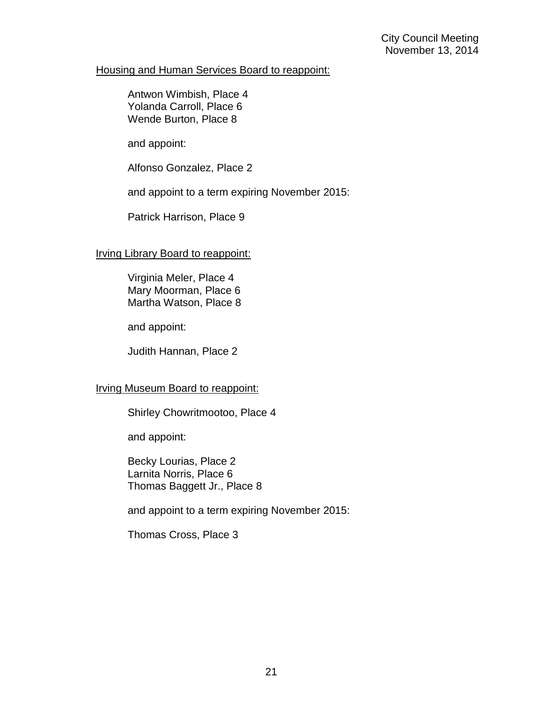#### Housing and Human Services Board to reappoint:

Antwon Wimbish, Place 4 Yolanda Carroll, Place 6 Wende Burton, Place 8

and appoint:

Alfonso Gonzalez, Place 2

and appoint to a term expiring November 2015:

Patrick Harrison, Place 9

### Irving Library Board to reappoint:

Virginia Meler, Place 4 Mary Moorman, Place 6 Martha Watson, Place 8

and appoint:

Judith Hannan, Place 2

### Irving Museum Board to reappoint:

Shirley Chowritmootoo, Place 4

and appoint:

Becky Lourias, Place 2 Larnita Norris, Place 6 Thomas Baggett Jr., Place 8

and appoint to a term expiring November 2015:

Thomas Cross, Place 3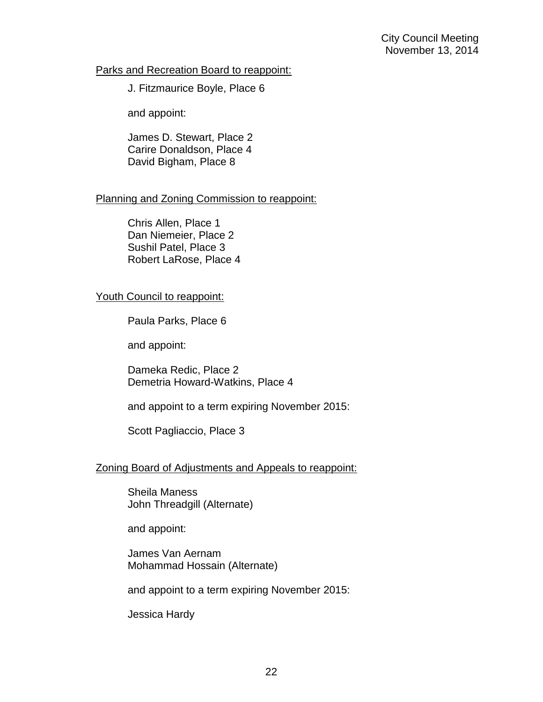#### Parks and Recreation Board to reappoint:

J. Fitzmaurice Boyle, Place 6

and appoint:

James D. Stewart, Place 2 Carire Donaldson, Place 4 David Bigham, Place 8

### Planning and Zoning Commission to reappoint:

Chris Allen, Place 1 Dan Niemeier, Place 2 Sushil Patel, Place 3 Robert LaRose, Place 4

### Youth Council to reappoint:

Paula Parks, Place 6

and appoint:

Dameka Redic, Place 2 Demetria Howard-Watkins, Place 4

and appoint to a term expiring November 2015:

Scott Pagliaccio, Place 3

### Zoning Board of Adjustments and Appeals to reappoint:

Sheila Maness John Threadgill (Alternate)

and appoint:

James Van Aernam Mohammad Hossain (Alternate)

and appoint to a term expiring November 2015:

Jessica Hardy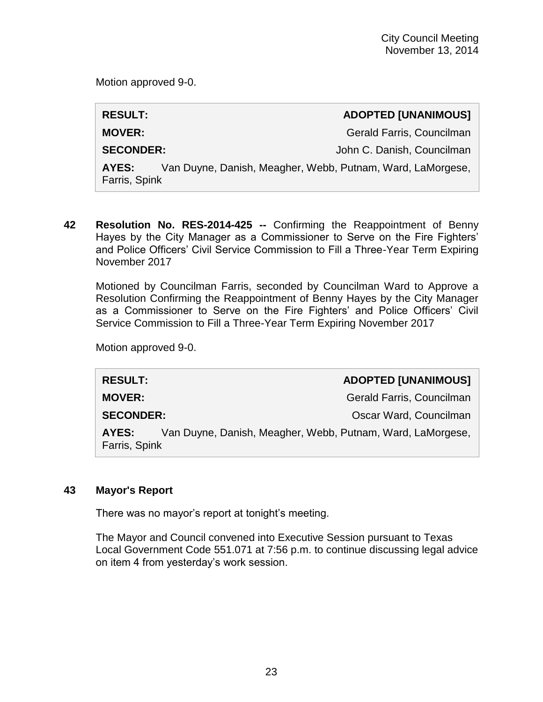Motion approved 9-0.

## **RESULT: ADOPTED [UNANIMOUS]**

**MOVER:** Gerald Farris, Councilman

**SECONDER:**  $John C. Danish, Councilman$ 

**AYES:** Van Duyne, Danish, Meagher, Webb, Putnam, Ward, LaMorgese, Farris, Spink

**42 Resolution No. RES-2014-425 --** Confirming the Reappointment of Benny Hayes by the City Manager as a Commissioner to Serve on the Fire Fighters' and Police Officers' Civil Service Commission to Fill a Three-Year Term Expiring November 2017

Motioned by Councilman Farris, seconded by Councilman Ward to Approve a Resolution Confirming the Reappointment of Benny Hayes by the City Manager as a Commissioner to Serve on the Fire Fighters' and Police Officers' Civil Service Commission to Fill a Three-Year Term Expiring November 2017

Motion approved 9-0.

| <b>RESULT:</b>         | <b>ADOPTED [UNANIMOUS]</b>                                 |
|------------------------|------------------------------------------------------------|
| <b>MOVER:</b>          | Gerald Farris, Councilman                                  |
| <b>SECONDER:</b>       | Oscar Ward, Councilman                                     |
| AYES:<br>Farris, Spink | Van Duyne, Danish, Meagher, Webb, Putnam, Ward, LaMorgese, |

## **43 Mayor's Report**

There was no mayor's report at tonight's meeting.

The Mayor and Council convened into Executive Session pursuant to Texas Local Government Code 551.071 at 7:56 p.m. to continue discussing legal advice on item 4 from yesterday's work session.